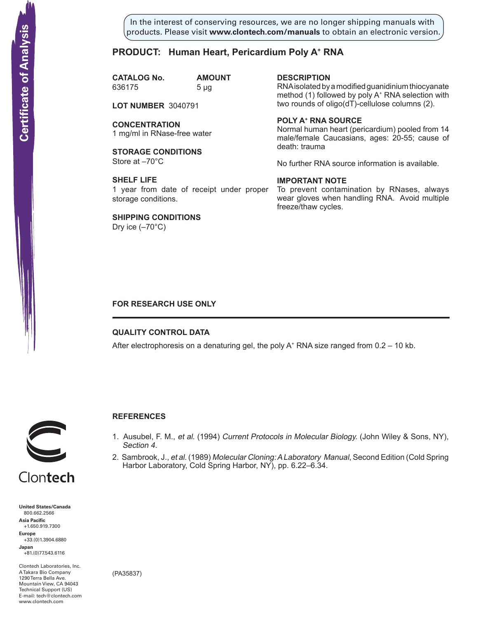In the interest of conserving resources, we are no longer shipping manuals with products. Please visit **www.clontech.com/manuals** to obtain an electronic version.

# **PRODUCT: Human Heart, Pericardium Poly A+ RNA**

**CATALOG No. AMOUNT** 636175 5 µg

**LOT NUMBER** 3040791

**CONCENTRATION** 1 mg/ml in RNase-free water

**STORAGE CONDITIONS** Store at –70°C

**SHELF LIFE** 1 year from date of receipt under proper storage conditions.

**SHIPPING CONDITIONS** Dry ice  $(-70^{\circ}C)$ 

**description**

RNA isolated by a modified guanidinium thiocyanate method (1) followed by poly A<sup>+</sup> RNA selection with two rounds of oligo(dT)-cellulose columns (2).

### **Poly a+ RNA source**

Normal human heart (pericardium) pooled from 14 male/female Caucasians, ages: 20-55; cause of death: trauma

No further RNA source information is available.

#### **IMPORTANT NOTE**

To prevent contamination by RNases, always wear gloves when handling RNA. Avoid multiple freeze/thaw cycles.

# **FOR RESEARCH USE ONLY**

## **QUALITY CONTROL DATA**

After electrophoresis on a denaturing gel, the poly  $A^+$  RNA size ranged from 0.2 – 10 kb.



# **References**

- 1. Ausubel, F. M., et al. (1994) Current Protocols in Molecular Biology. (John Wiley & Sons, NY), Section 4.
- 2. Sambrook, J., et al. (1989) Molecular Cloning: A Laboratory Manual, Second Edition (Cold Spring Harbor Laboratory, Cold Spring Harbor, NY), pp. 6.22–6.34.

Clontech **United States/Canada** 800.662.2566 **Asia Pacific** +1.650.919.7300 **Europe**

+33.(0)1.3904.6880 **Japan** +81.(0)77.543.6116

Clontech Laboratories, Inc. A Takara Bio Company 1290 Terra Bella Ave. Mountain View, CA 94043 Technical Support (US) E-mail: tech@clontech.com

(PA35837)